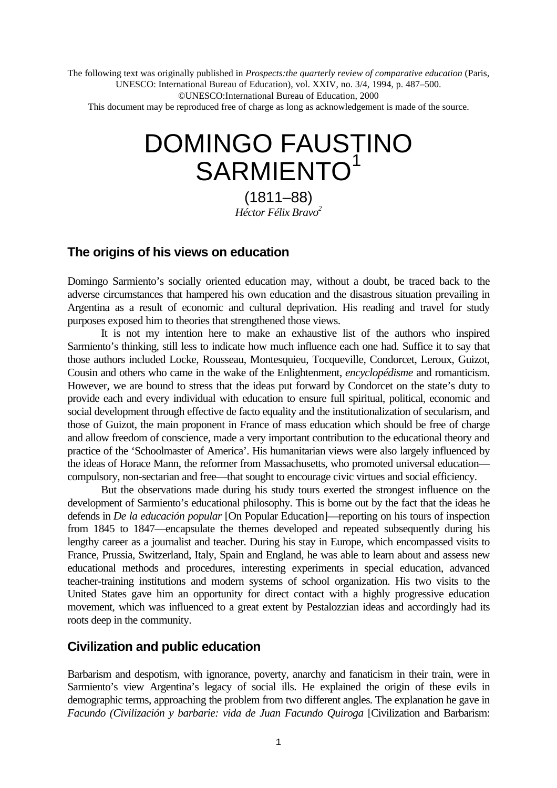The following text was originally published in *Prospects:the quarterly review of comparative education* (Paris, UNESCO: International Bureau of Education), vol. XXIV, no. 3/4, 1994, p. 487–500. ©UNESCO:International Bureau of Education, 2000

This document may be reproduced free of charge as long as acknowledgement is made of the source.

# DOMINGO FAUSTINO SARMIENTO<sup>1</sup>

(1811–88) *Héctor Félix Bravo<sup>2</sup>*

### **The origins of his views on education**

Domingo Sarmiento's socially oriented education may, without a doubt, be traced back to the adverse circumstances that hampered his own education and the disastrous situation prevailing in Argentina as a result of economic and cultural deprivation. His reading and travel for study purposes exposed him to theories that strengthened those views.

It is not my intention here to make an exhaustive list of the authors who inspired Sarmiento's thinking, still less to indicate how much influence each one had. Suffice it to say that those authors included Locke, Rousseau, Montesquieu, Tocqueville, Condorcet, Leroux, Guizot, Cousin and others who came in the wake of the Enlightenment, *encyclopédisme* and romanticism. However, we are bound to stress that the ideas put forward by Condorcet on the state's duty to provide each and every individual with education to ensure full spiritual, political, economic and social development through effective de facto equality and the institutionalization of secularism, and those of Guizot, the main proponent in France of mass education which should be free of charge and allow freedom of conscience, made a very important contribution to the educational theory and practice of the 'Schoolmaster of America'. His humanitarian views were also largely influenced by the ideas of Horace Mann, the reformer from Massachusetts, who promoted universal education compulsory, non-sectarian and free—that sought to encourage civic virtues and social efficiency.

But the observations made during his study tours exerted the strongest influence on the development of Sarmiento's educational philosophy. This is borne out by the fact that the ideas he defends in *De la educación popular* [On Popular Education]—reporting on his tours of inspection from 1845 to 1847—encapsulate the themes developed and repeated subsequently during his lengthy career as a journalist and teacher. During his stay in Europe, which encompassed visits to France, Prussia, Switzerland, Italy, Spain and England, he was able to learn about and assess new educational methods and procedures, interesting experiments in special education, advanced teacher-training institutions and modern systems of school organization. His two visits to the United States gave him an opportunity for direct contact with a highly progressive education movement, which was influenced to a great extent by Pestalozzian ideas and accordingly had its roots deep in the community.

## **Civilization and public education**

Barbarism and despotism, with ignorance, poverty, anarchy and fanaticism in their train, were in Sarmiento's view Argentina's legacy of social ills. He explained the origin of these evils in demographic terms, approaching the problem from two different angles. The explanation he gave in *Facundo (Civilización y barbarie: vida de Juan Facundo Quiroga* [Civilization and Barbarism: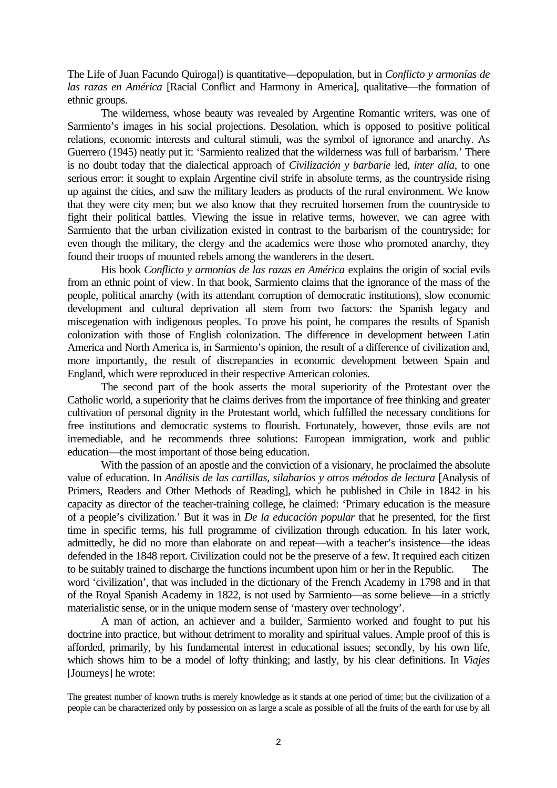The Life of Juan Facundo Quiroga]) is quantitative—depopulation, but in *Conflicto y armonías de las razas en América* [Racial Conflict and Harmony in America], qualitative—the formation of ethnic groups.

The wilderness, whose beauty was revealed by Argentine Romantic writers, was one of Sarmiento's images in his social projections. Desolation, which is opposed to positive political relations, economic interests and cultural stimuli, was the symbol of ignorance and anarchy. As Guerrero (1945) neatly put it: 'Sarmiento realized that the wilderness was full of barbarism.' There is no doubt today that the dialectical approach of *Civilización y barbarie* led, *inter alia*, to one serious error: it sought to explain Argentine civil strife in absolute terms, as the countryside rising up against the cities, and saw the military leaders as products of the rural environment. We know that they were city men; but we also know that they recruited horsemen from the countryside to fight their political battles. Viewing the issue in relative terms, however, we can agree with Sarmiento that the urban civilization existed in contrast to the barbarism of the countryside; for even though the military, the clergy and the academics were those who promoted anarchy, they found their troops of mounted rebels among the wanderers in the desert.

His book *Conflicto y armonías de las razas en América* explains the origin of social evils from an ethnic point of view. In that book, Sarmiento claims that the ignorance of the mass of the people, political anarchy (with its attendant corruption of democratic institutions), slow economic development and cultural deprivation all stem from two factors: the Spanish legacy and miscegenation with indigenous peoples. To prove his point, he compares the results of Spanish colonization with those of English colonization. The difference in development between Latin America and North America is, in Sarmiento's opinion, the result of a difference of civilization and, more importantly, the result of discrepancies in economic development between Spain and England, which were reproduced in their respective American colonies.

The second part of the book asserts the moral superiority of the Protestant over the Catholic world, a superiority that he claims derives from the importance of free thinking and greater cultivation of personal dignity in the Protestant world, which fulfilled the necessary conditions for free institutions and democratic systems to flourish. Fortunately, however, those evils are not irremediable, and he recommends three solutions: European immigration, work and public education—the most important of those being education.

With the passion of an apostle and the conviction of a visionary, he proclaimed the absolute value of education. In *Análisis de las cartillas, silabarios y otros métodos de lectura* [Analysis of Primers, Readers and Other Methods of Reading], which he published in Chile in 1842 in his capacity as director of the teacher-training college, he claimed: 'Primary education is the measure of a people's civilization.' But it was in *De la educación popular* that he presented, for the first time in specific terms, his full programme of civilization through education. In his later work, admittedly, he did no more than elaborate on and repeat—with a teacher's insistence—the ideas defended in the 1848 report. Civilization could not be the preserve of a few. It required each citizen to be suitably trained to discharge the functions incumbent upon him or her in the Republic. The word 'civilization', that was included in the dictionary of the French Academy in 1798 and in that of the Royal Spanish Academy in 1822, is not used by Sarmiento—as some believe—in a strictly materialistic sense, or in the unique modern sense of 'mastery over technology'.

A man of action, an achiever and a builder, Sarmiento worked and fought to put his doctrine into practice, but without detriment to morality and spiritual values. Ample proof of this is afforded, primarily, by his fundamental interest in educational issues; secondly, by his own life, which shows him to be a model of lofty thinking; and lastly, by his clear definitions. In *Viajes* [Journeys] he wrote:

The greatest number of known truths is merely knowledge as it stands at one period of time; but the civilization of a people can be characterized only by possession on as large a scale as possible of all the fruits of the earth for use by all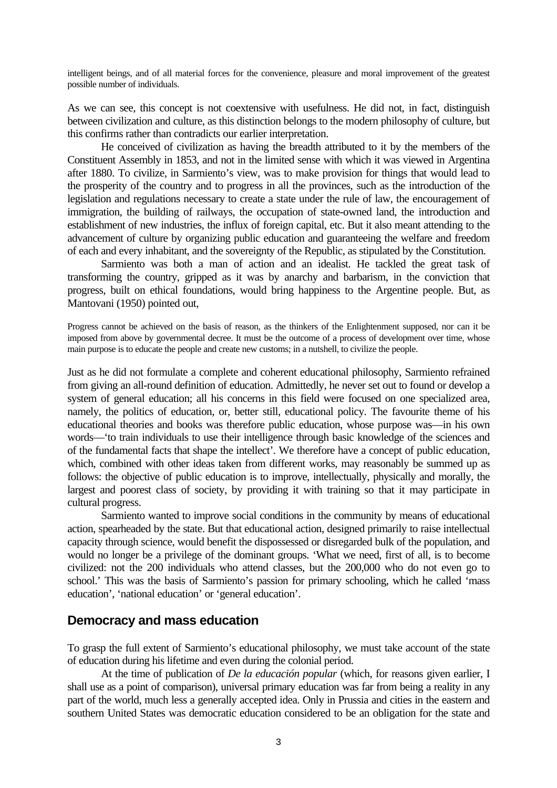intelligent beings, and of all material forces for the convenience, pleasure and moral improvement of the greatest possible number of individuals.

As we can see, this concept is not coextensive with usefulness. He did not, in fact, distinguish between civilization and culture, as this distinction belongs to the modern philosophy of culture, but this confirms rather than contradicts our earlier interpretation.

He conceived of civilization as having the breadth attributed to it by the members of the Constituent Assembly in 1853, and not in the limited sense with which it was viewed in Argentina after 1880. To civilize, in Sarmiento's view, was to make provision for things that would lead to the prosperity of the country and to progress in all the provinces, such as the introduction of the legislation and regulations necessary to create a state under the rule of law, the encouragement of immigration, the building of railways, the occupation of state-owned land, the introduction and establishment of new industries, the influx of foreign capital, etc. But it also meant attending to the advancement of culture by organizing public education and guaranteeing the welfare and freedom of each and every inhabitant, and the sovereignty of the Republic, as stipulated by the Constitution.

Sarmiento was both a man of action and an idealist. He tackled the great task of transforming the country, gripped as it was by anarchy and barbarism, in the conviction that progress, built on ethical foundations, would bring happiness to the Argentine people. But, as Mantovani (1950) pointed out,

Progress cannot be achieved on the basis of reason, as the thinkers of the Enlightenment supposed, nor can it be imposed from above by governmental decree. It must be the outcome of a process of development over time, whose main purpose is to educate the people and create new customs; in a nutshell, to civilize the people.

Just as he did not formulate a complete and coherent educational philosophy, Sarmiento refrained from giving an all-round definition of education. Admittedly, he never set out to found or develop a system of general education; all his concerns in this field were focused on one specialized area, namely, the politics of education, or, better still, educational policy. The favourite theme of his educational theories and books was therefore public education, whose purpose was—in his own words—'to train individuals to use their intelligence through basic knowledge of the sciences and of the fundamental facts that shape the intellect'. We therefore have a concept of public education, which, combined with other ideas taken from different works, may reasonably be summed up as follows: the objective of public education is to improve, intellectually, physically and morally, the largest and poorest class of society, by providing it with training so that it may participate in cultural progress.

Sarmiento wanted to improve social conditions in the community by means of educational action, spearheaded by the state. But that educational action, designed primarily to raise intellectual capacity through science, would benefit the dispossessed or disregarded bulk of the population, and would no longer be a privilege of the dominant groups. 'What we need, first of all, is to become civilized: not the 200 individuals who attend classes, but the 200,000 who do not even go to school.' This was the basis of Sarmiento's passion for primary schooling, which he called 'mass education', 'national education' or 'general education'.

#### **Democracy and mass education**

To grasp the full extent of Sarmiento's educational philosophy, we must take account of the state of education during his lifetime and even during the colonial period.

At the time of publication of *De la educación popular* (which, for reasons given earlier, I shall use as a point of comparison), universal primary education was far from being a reality in any part of the world, much less a generally accepted idea. Only in Prussia and cities in the eastern and southern United States was democratic education considered to be an obligation for the state and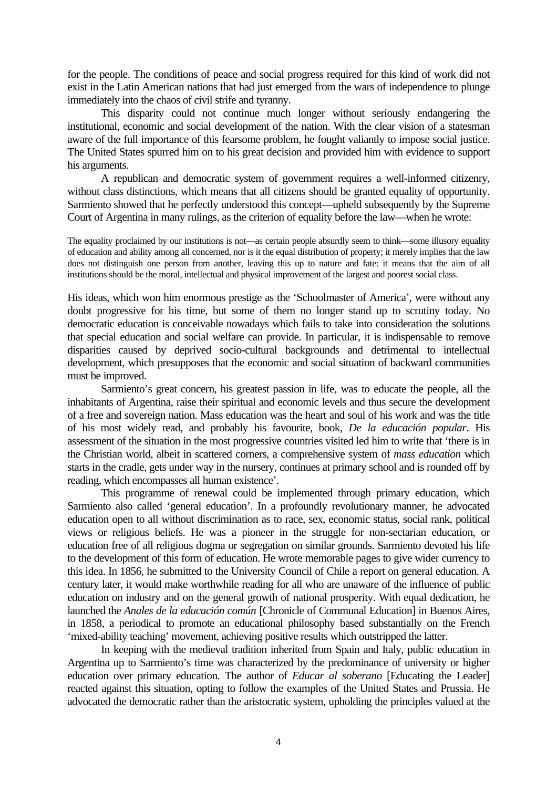for the people. The conditions of peace and social progress required for this kind of work did not exist in the Latin American nations that had just emerged from the wars of independence to plunge immediately into the chaos of civil strife and tyranny.

This disparity could not continue much longer without seriously endangering the institutional, economic and social development of the nation. With the clear vision of a statesman aware of the full importance of this fearsome problem, he fought valiantly to impose social justice. The United States spurred him on to his great decision and provided him with evidence to support his arguments.

A republican and democratic system of government requires a well-informed citizenry, without class distinctions, which means that all citizens should be granted equality of opportunity. Sarmiento showed that he perfectly understood this concept—upheld subsequently by the Supreme Court of Argentina in many rulings, as the criterion of equality before the law—when he wrote:

The equality proclaimed by our institutions is not—as certain people absurdly seem to think—some illusory equality of education and ability among all concerned, nor is it the equal distribution of property; it merely implies that the law does not distinguish one person from another, leaving this up to nature and fate: it means that the aim of all institutions should be the moral, intellectual and physical improvement of the largest and poorest social class.

His ideas, which won him enormous prestige as the 'Schoolmaster of America', were without any doubt progressive for his time, but some of them no longer stand up to scrutiny today. No democratic education is conceivable nowadays which fails to take into consideration the solutions that special education and social welfare can provide. In particular, it is indispensable to remove disparities caused by deprived socio-cultural backgrounds and detrimental to intellectual development, which presupposes that the economic and social situation of backward communities must be improved.

Sarmiento's great concern, his greatest passion in life, was to educate the people, all the inhabitants of Argentina, raise their spiritual and economic levels and thus secure the development of a free and sovereign nation. Mass education was the heart and soul of his work and was the title of his most widely read, and probably his favourite, book, *De la educación popular*. His assessment of the situation in the most progressive countries visited led him to write that 'there is in the Christian world, albeit in scattered corners, a comprehensive system of *mass education* which starts in the cradle, gets under way in the nursery, continues at primary school and is rounded off by reading, which encompasses all human existence'.

This programme of renewal could be implemented through primary education, which Sarmiento also called 'general education'. In a profoundly revolutionary manner, he advocated education open to all without discrimination as to race, sex, economic status, social rank, political views or religious beliefs. He was a pioneer in the struggle for non-sectarian education, or education free of all religious dogma or segregation on similar grounds. Sarmiento devoted his life to the development of this form of education. He wrote memorable pages to give wider currency to this idea. In 1856, he submitted to the University Council of Chile a report on general education. A century later, it would make worthwhile reading for all who are unaware of the influence of public education on industry and on the general growth of national prosperity. With equal dedication, he launched the *Anales de la educación común* [Chronicle of Communal Education] in Buenos Aires, in 1858, a periodical to promote an educational philosophy based substantially on the French 'mixed-ability teaching' movement, achieving positive results which outstripped the latter.

In keeping with the medieval tradition inherited from Spain and Italy, public education in Argentina up to Sarmiento's time was characterized by the predominance of university or higher education over primary education. The author of *Educar al soberano* [Educating the Leader] reacted against this situation, opting to follow the examples of the United States and Prussia. He advocated the democratic rather than the aristocratic system, upholding the principles valued at the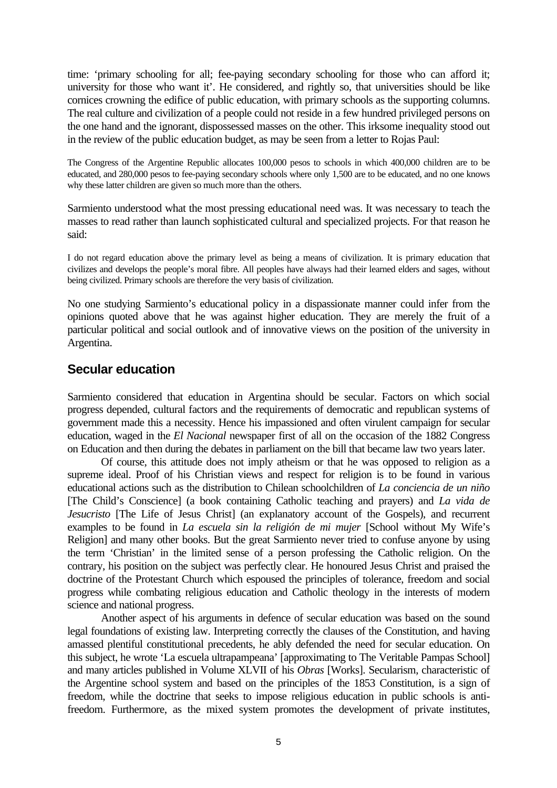time: 'primary schooling for all; fee-paying secondary schooling for those who can afford it; university for those who want it'. He considered, and rightly so, that universities should be like cornices crowning the edifice of public education, with primary schools as the supporting columns. The real culture and civilization of a people could not reside in a few hundred privileged persons on the one hand and the ignorant, dispossessed masses on the other. This irksome inequality stood out in the review of the public education budget, as may be seen from a letter to Rojas Paul:

The Congress of the Argentine Republic allocates 100,000 pesos to schools in which 400,000 children are to be educated, and 280,000 pesos to fee-paying secondary schools where only 1,500 are to be educated, and no one knows why these latter children are given so much more than the others.

Sarmiento understood what the most pressing educational need was. It was necessary to teach the masses to read rather than launch sophisticated cultural and specialized projects. For that reason he said:

I do not regard education above the primary level as being a means of civilization. It is primary education that civilizes and develops the people's moral fibre. All peoples have always had their learned elders and sages, without being civilized. Primary schools are therefore the very basis of civilization.

No one studying Sarmiento's educational policy in a dispassionate manner could infer from the opinions quoted above that he was against higher education. They are merely the fruit of a particular political and social outlook and of innovative views on the position of the university in Argentina.

## **Secular education**

Sarmiento considered that education in Argentina should be secular. Factors on which social progress depended, cultural factors and the requirements of democratic and republican systems of government made this a necessity. Hence his impassioned and often virulent campaign for secular education, waged in the *El Nacional* newspaper first of all on the occasion of the 1882 Congress on Education and then during the debates in parliament on the bill that became law two years later.

Of course, this attitude does not imply atheism or that he was opposed to religion as a supreme ideal. Proof of his Christian views and respect for religion is to be found in various educational actions such as the distribution to Chilean schoolchildren of *La conciencia de un niño* [The Child's Conscience] (a book containing Catholic teaching and prayers) and *La vida de Jesucristo* [The Life of Jesus Christ] (an explanatory account of the Gospels), and recurrent examples to be found in *La escuela sin la religión de mi mujer* [School without My Wife's Religion] and many other books. But the great Sarmiento never tried to confuse anyone by using the term 'Christian' in the limited sense of a person professing the Catholic religion. On the contrary, his position on the subject was perfectly clear. He honoured Jesus Christ and praised the doctrine of the Protestant Church which espoused the principles of tolerance, freedom and social progress while combating religious education and Catholic theology in the interests of modern science and national progress.

Another aspect of his arguments in defence of secular education was based on the sound legal foundations of existing law. Interpreting correctly the clauses of the Constitution, and having amassed plentiful constitutional precedents, he ably defended the need for secular education. On this subject, he wrote 'La escuela ultrapampeana' [approximating to The Veritable Pampas School] and many articles published in Volume XLVII of his *Obras* [Works]. Secularism, characteristic of the Argentine school system and based on the principles of the 1853 Constitution, is a sign of freedom, while the doctrine that seeks to impose religious education in public schools is antifreedom. Furthermore, as the mixed system promotes the development of private institutes,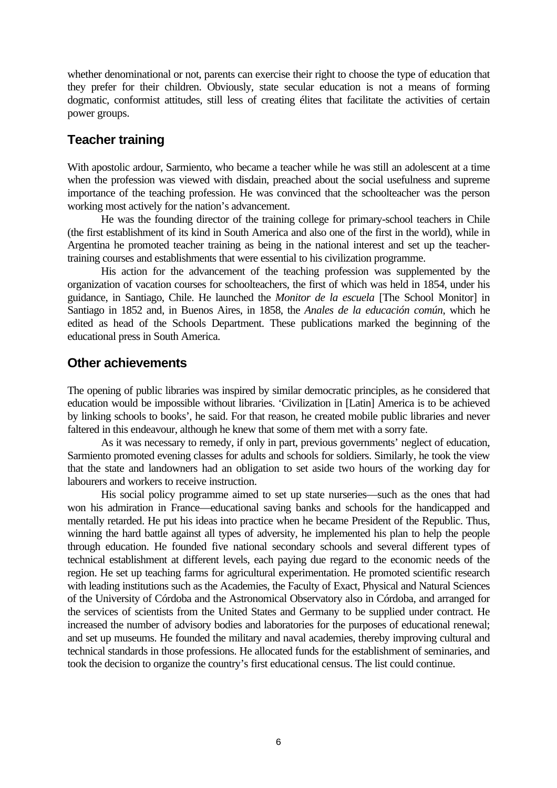whether denominational or not, parents can exercise their right to choose the type of education that they prefer for their children. Obviously, state secular education is not a means of forming dogmatic, conformist attitudes, still less of creating élites that facilitate the activities of certain power groups.

## **Teacher training**

With apostolic ardour, Sarmiento, who became a teacher while he was still an adolescent at a time when the profession was viewed with disdain, preached about the social usefulness and supreme importance of the teaching profession. He was convinced that the schoolteacher was the person working most actively for the nation's advancement.

He was the founding director of the training college for primary-school teachers in Chile (the first establishment of its kind in South America and also one of the first in the world), while in Argentina he promoted teacher training as being in the national interest and set up the teachertraining courses and establishments that were essential to his civilization programme.

His action for the advancement of the teaching profession was supplemented by the organization of vacation courses for schoolteachers, the first of which was held in 1854, under his guidance, in Santiago, Chile. He launched the *Monitor de la escuela* [The School Monitor] in Santiago in 1852 and, in Buenos Aires, in 1858, the *Anales de la educación común*, which he edited as head of the Schools Department. These publications marked the beginning of the educational press in South America.

### **Other achievements**

The opening of public libraries was inspired by similar democratic principles, as he considered that education would be impossible without libraries. 'Civilization in [Latin] America is to be achieved by linking schools to books', he said. For that reason, he created mobile public libraries and never faltered in this endeavour, although he knew that some of them met with a sorry fate.

As it was necessary to remedy, if only in part, previous governments' neglect of education, Sarmiento promoted evening classes for adults and schools for soldiers. Similarly, he took the view that the state and landowners had an obligation to set aside two hours of the working day for labourers and workers to receive instruction.

His social policy programme aimed to set up state nurseries—such as the ones that had won his admiration in France—educational saving banks and schools for the handicapped and mentally retarded. He put his ideas into practice when he became President of the Republic. Thus, winning the hard battle against all types of adversity, he implemented his plan to help the people through education. He founded five national secondary schools and several different types of technical establishment at different levels, each paying due regard to the economic needs of the region. He set up teaching farms for agricultural experimentation. He promoted scientific research with leading institutions such as the Academies, the Faculty of Exact, Physical and Natural Sciences of the University of Córdoba and the Astronomical Observatory also in Córdoba, and arranged for the services of scientists from the United States and Germany to be supplied under contract. He increased the number of advisory bodies and laboratories for the purposes of educational renewal; and set up museums. He founded the military and naval academies, thereby improving cultural and technical standards in those professions. He allocated funds for the establishment of seminaries, and took the decision to organize the country's first educational census. The list could continue.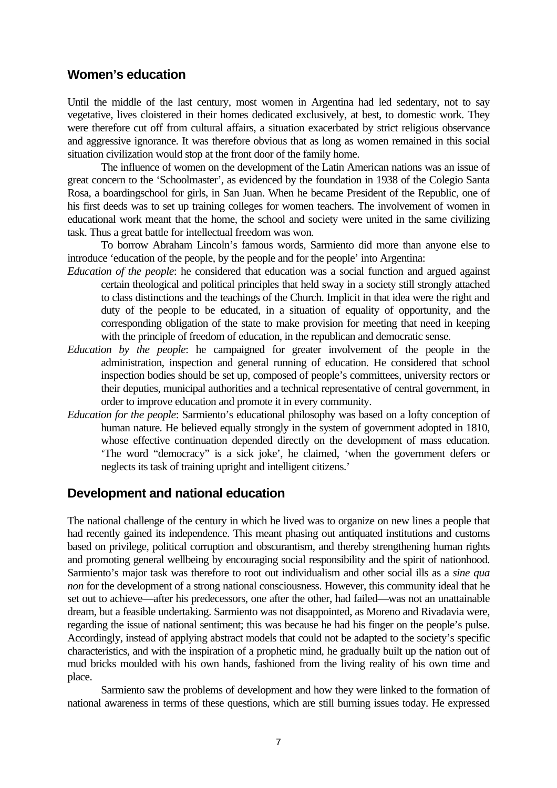### **Women's education**

Until the middle of the last century, most women in Argentina had led sedentary, not to say vegetative, lives cloistered in their homes dedicated exclusively, at best, to domestic work. They were therefore cut off from cultural affairs, a situation exacerbated by strict religious observance and aggressive ignorance. It was therefore obvious that as long as women remained in this social situation civilization would stop at the front door of the family home.

The influence of women on the development of the Latin American nations was an issue of great concern to the 'Schoolmaster', as evidenced by the foundation in 1938 of the Colegio Santa Rosa, a boardingschool for girls, in San Juan. When he became President of the Republic, one of his first deeds was to set up training colleges for women teachers. The involvement of women in educational work meant that the home, the school and society were united in the same civilizing task. Thus a great battle for intellectual freedom was won.

To borrow Abraham Lincoln's famous words, Sarmiento did more than anyone else to introduce 'education of the people, by the people and for the people' into Argentina:

- *Education of the people*: he considered that education was a social function and argued against certain theological and political principles that held sway in a society still strongly attached to class distinctions and the teachings of the Church. Implicit in that idea were the right and duty of the people to be educated, in a situation of equality of opportunity, and the corresponding obligation of the state to make provision for meeting that need in keeping with the principle of freedom of education, in the republican and democratic sense.
- *Education by the people*: he campaigned for greater involvement of the people in the administration, inspection and general running of education. He considered that school inspection bodies should be set up, composed of people's committees, university rectors or their deputies, municipal authorities and a technical representative of central government, in order to improve education and promote it in every community.
- *Education for the people*: Sarmiento's educational philosophy was based on a lofty conception of human nature. He believed equally strongly in the system of government adopted in 1810, whose effective continuation depended directly on the development of mass education. 'The word "democracy" is a sick joke', he claimed, 'when the government defers or neglects its task of training upright and intelligent citizens.'

#### **Development and national education**

The national challenge of the century in which he lived was to organize on new lines a people that had recently gained its independence. This meant phasing out antiquated institutions and customs based on privilege, political corruption and obscurantism, and thereby strengthening human rights and promoting general wellbeing by encouraging social responsibility and the spirit of nationhood. Sarmiento's major task was therefore to root out individualism and other social ills as a *sine qua non* for the development of a strong national consciousness. However, this community ideal that he set out to achieve—after his predecessors, one after the other, had failed—was not an unattainable dream, but a feasible undertaking. Sarmiento was not disappointed, as Moreno and Rivadavia were, regarding the issue of national sentiment; this was because he had his finger on the people's pulse. Accordingly, instead of applying abstract models that could not be adapted to the society's specific characteristics, and with the inspiration of a prophetic mind, he gradually built up the nation out of mud bricks moulded with his own hands, fashioned from the living reality of his own time and place.

Sarmiento saw the problems of development and how they were linked to the formation of national awareness in terms of these questions, which are still burning issues today. He expressed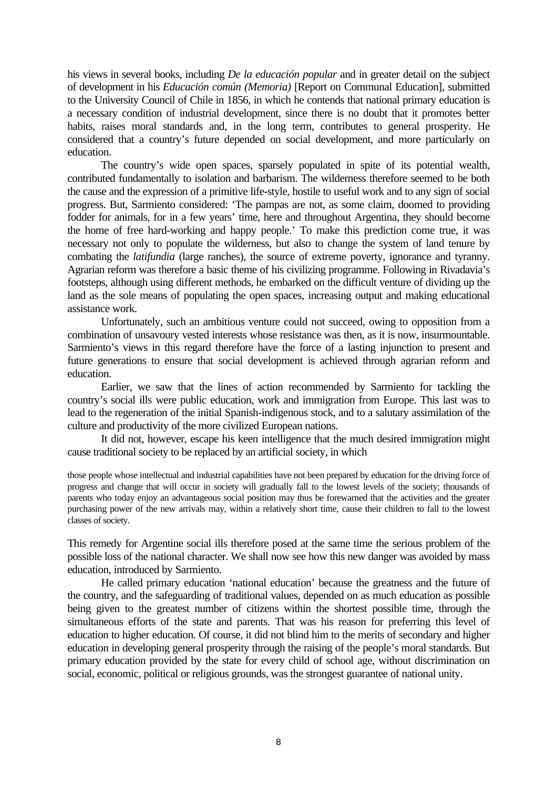his views in several books, including *De la educación popular* and in greater detail on the subject of development in his *Educación común (Memoria)* [Report on Communal Education], submitted to the University Council of Chile in 1856, in which he contends that national primary education is a necessary condition of industrial development, since there is no doubt that it promotes better habits, raises moral standards and, in the long term, contributes to general prosperity. He considered that a country's future depended on social development, and more particularly on education.

The country's wide open spaces, sparsely populated in spite of its potential wealth, contributed fundamentally to isolation and barbarism. The wilderness therefore seemed to be both the cause and the expression of a primitive life-style, hostile to useful work and to any sign of social progress. But, Sarmiento considered: 'The pampas are not, as some claim, doomed to providing fodder for animals, for in a few years' time, here and throughout Argentina, they should become the home of free hard-working and happy people.' To make this prediction come true, it was necessary not only to populate the wilderness, but also to change the system of land tenure by combating the *latifundia* (large ranches), the source of extreme poverty, ignorance and tyranny. Agrarian reform was therefore a basic theme of his civilizing programme. Following in Rivadavia's footsteps, although using different methods, he embarked on the difficult venture of dividing up the land as the sole means of populating the open spaces, increasing output and making educational assistance work.

Unfortunately, such an ambitious venture could not succeed, owing to opposition from a combination of unsavoury vested interests whose resistance was then, as it is now, insurmountable. Sarmiento's views in this regard therefore have the force of a lasting injunction to present and future generations to ensure that social development is achieved through agrarian reform and education.

Earlier, we saw that the lines of action recommended by Sarmiento for tackling the country's social ills were public education, work and immigration from Europe. This last was to lead to the regeneration of the initial Spanish-indigenous stock, and to a salutary assimilation of the culture and productivity of the more civilized European nations.

It did not, however, escape his keen intelligence that the much desired immigration might cause traditional society to be replaced by an artificial society, in which

those people whose intellectual and industrial capabilities have not been prepared by education for the driving force of progress and change that will occur in society will gradually fall to the lowest levels of the society; thousands of parents who today enjoy an advantageous social position may thus be forewarned that the activities and the greater purchasing power of the new arrivals may, within a relatively short time, cause their children to fall to the lowest classes of society.

This remedy for Argentine social ills therefore posed at the same time the serious problem of the possible loss of the national character. We shall now see how this new danger was avoided by mass education, introduced by Sarmiento.

He called primary education 'national education' because the greatness and the future of the country, and the safeguarding of traditional values, depended on as much education as possible being given to the greatest number of citizens within the shortest possible time, through the simultaneous efforts of the state and parents. That was his reason for preferring this level of education to higher education. Of course, it did not blind him to the merits of secondary and higher education in developing general prosperity through the raising of the people's moral standards. But primary education provided by the state for every child of school age, without discrimination on social, economic, political or religious grounds, was the strongest guarantee of national unity.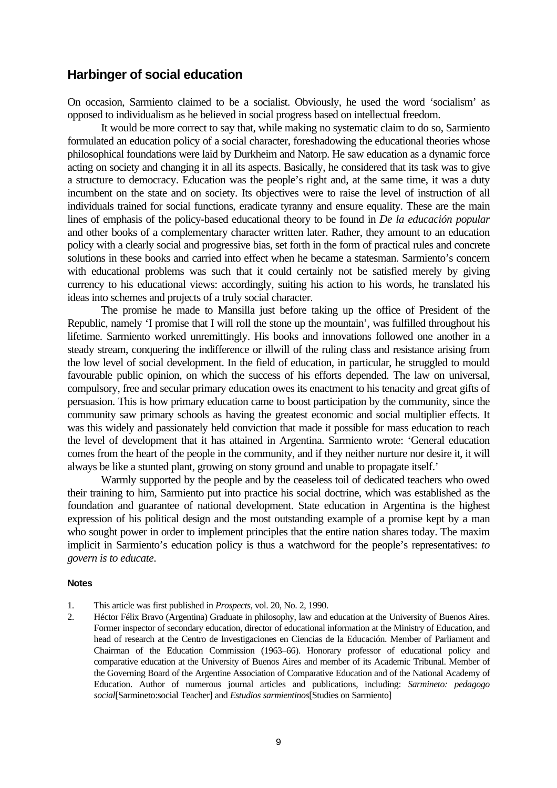#### **Harbinger of social education**

On occasion, Sarmiento claimed to be a socialist. Obviously, he used the word 'socialism' as opposed to individualism as he believed in social progress based on intellectual freedom.

It would be more correct to say that, while making no systematic claim to do so, Sarmiento formulated an education policy of a social character, foreshadowing the educational theories whose philosophical foundations were laid by Durkheim and Natorp. He saw education as a dynamic force acting on society and changing it in all its aspects. Basically, he considered that its task was to give a structure to democracy. Education was the people's right and, at the same time, it was a duty incumbent on the state and on society. Its objectives were to raise the level of instruction of all individuals trained for social functions, eradicate tyranny and ensure equality. These are the main lines of emphasis of the policy-based educational theory to be found in *De la educación popular* and other books of a complementary character written later. Rather, they amount to an education policy with a clearly social and progressive bias, set forth in the form of practical rules and concrete solutions in these books and carried into effect when he became a statesman. Sarmiento's concern with educational problems was such that it could certainly not be satisfied merely by giving currency to his educational views: accordingly, suiting his action to his words, he translated his ideas into schemes and projects of a truly social character.

The promise he made to Mansilla just before taking up the office of President of the Republic, namely 'I promise that I will roll the stone up the mountain', was fulfilled throughout his lifetime. Sarmiento worked unremittingly. His books and innovations followed one another in a steady stream, conquering the indifference or illwill of the ruling class and resistance arising from the low level of social development. In the field of education, in particular, he struggled to mould favourable public opinion, on which the success of his efforts depended. The law on universal, compulsory, free and secular primary education owes its enactment to his tenacity and great gifts of persuasion. This is how primary education came to boost participation by the community, since the community saw primary schools as having the greatest economic and social multiplier effects. It was this widely and passionately held conviction that made it possible for mass education to reach the level of development that it has attained in Argentina. Sarmiento wrote: 'General education comes from the heart of the people in the community, and if they neither nurture nor desire it, it will always be like a stunted plant, growing on stony ground and unable to propagate itself.'

Warmly supported by the people and by the ceaseless toil of dedicated teachers who owed their training to him, Sarmiento put into practice his social doctrine, which was established as the foundation and guarantee of national development. State education in Argentina is the highest expression of his political design and the most outstanding example of a promise kept by a man who sought power in order to implement principles that the entire nation shares today. The maxim implicit in Sarmiento's education policy is thus a watchword for the people's representatives: *to govern is to educate*.

#### **Notes**

- 1. This article was first published in *Prospects*, vol. 20, No. 2, 1990.
- 2. Héctor Félix Bravo (Argentina) Graduate in philosophy, law and education at the University of Buenos Aires. Former inspector of secondary education, director of educational information at the Ministry of Education, and head of research at the Centro de Investigaciones en Ciencias de la Educación. Member of Parliament and Chairman of the Education Commission (1963–66). Honorary professor of educational policy and comparative education at the University of Buenos Aires and member of its Academic Tribunal. Member of the Governing Board of the Argentine Association of Comparative Education and of the National Academy of Education. Author of numerous journal articles and publications, including: *Sarmineto: pedagogo social*[Sarmineto:social Teacher] and *Estudios sarmientinos*[Studies on Sarmiento]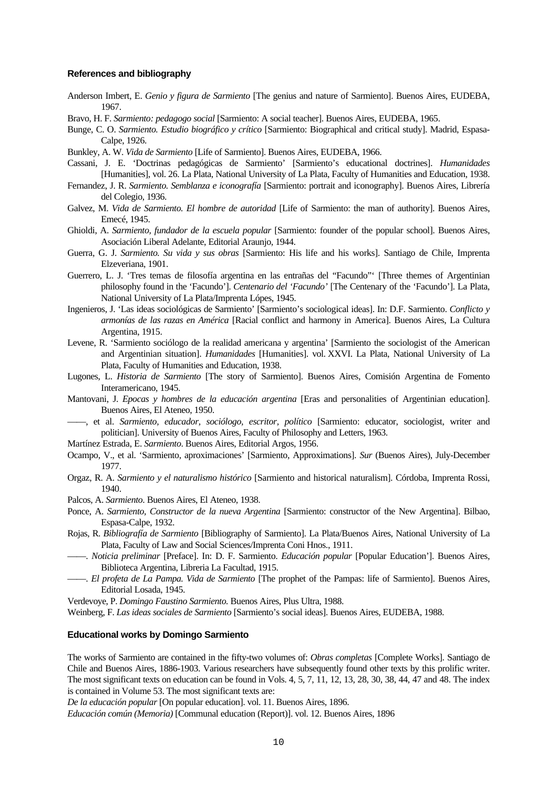#### **References and bibliography**

- Anderson Imbert, E. *Genio y figura de Sarmiento* [The genius and nature of Sarmiento]. Buenos Aires, EUDEBA, 1967.
- Bravo, H. F. *Sarmiento: pedagogo social* [Sarmiento: A social teacher]. Buenos Aires, EUDEBA, 1965.
- Bunge, C. O. *Sarmiento. Estudio biográfico y crítico* [Sarmiento: Biographical and critical study]. Madrid, Espasa-Calpe, 1926.
- Bunkley, A. W. *Vida de Sarmiento* [Life of Sarmiento]. Buenos Aires, EUDEBA, 1966.
- Cassani, J. E. 'Doctrinas pedagógicas de Sarmiento' [Sarmiento's educational doctrines]. *Humanidades* [Humanities], vol. 26. La Plata, National University of La Plata, Faculty of Humanities and Education, 1938.
- Fernandez, J. R. *Sarmiento. Semblanza e iconografía* [Sarmiento: portrait and iconography]. Buenos Aires, Librería del Colegio, 1936.
- Galvez, M. *Vida de Sarmiento. El hombre de autoridad* [Life of Sarmiento: the man of authority]. Buenos Aires, Emecé, 1945.
- Ghioldi, A. *Sarmiento, fundador de la escuela popular* [Sarmiento: founder of the popular school]. Buenos Aires, Asociación Liberal Adelante, Editorial Araunjo, 1944.
- Guerra, G. J. *Sarmiento. Su vida y sus obras* [Sarmiento: His life and his works]. Santiago de Chile, Imprenta Elzeveriana, 1901.
- Guerrero, L. J. 'Tres temas de filosofía argentina en las entrañas del "Facundo"' [Three themes of Argentinian philosophy found in the 'Facundo']. *Centenario del 'Facundo'* [The Centenary of the 'Facundo']. La Plata, National University of La Plata/Imprenta Lópes, 1945.
- Ingenieros, J. 'Las ideas sociológicas de Sarmiento' [Sarmiento's sociological ideas]. In: D.F. Sarmiento. *Conflicto y armonías de las razas en América* [Racial conflict and harmony in America]. Buenos Aires, La Cultura Argentina, 1915.
- Levene, R. 'Sarmiento sociólogo de la realidad americana y argentina' [Sarmiento the sociologist of the American and Argentinian situation]. *Humanidades* [Humanities]. vol. XXVI. La Plata, National University of La Plata, Faculty of Humanities and Education, 1938.
- Lugones, L. *Historia de Sarmiento* [The story of Sarmiento]. Buenos Aires, Comisión Argentina de Fomento Interamericano, 1945.
- Mantovani, J. *Epocas y hombres de la educación argentina* [Eras and personalities of Argentinian education]. Buenos Aires, El Ateneo, 1950.
- ——, et al. *Sarmiento, educador, sociólogo, escritor, político* [Sarmiento: educator, sociologist, writer and politician]. University of Buenos Aires, Faculty of Philosophy and Letters, 1963.
- Martínez Estrada, E. *Sarmiento*. Buenos Aires, Editorial Argos, 1956.
- Ocampo, V., et al. 'Sarmiento, aproximaciones' [Sarmiento, Approximations]. *Sur* (Buenos Aires), July-December 1977.
- Orgaz, R. A. *Sarmiento y el naturalismo histórico* [Sarmiento and historical naturalism]. Córdoba, Imprenta Rossi, 1940.
- Palcos, A. *Sarmiento*. Buenos Aires, El Ateneo, 1938.
- Ponce, A. *Sarmiento, Constructor de la nueva Argentina* [Sarmiento: constructor of the New Argentina]. Bilbao, Espasa-Calpe, 1932.
- Rojas, R. *Bibliografía de Sarmiento* [Bibliography of Sarmiento]. La Plata/Buenos Aires, National University of La Plata, Faculty of Law and Social Sciences/Imprenta Coni Hnos., 1911.
- ——. *Noticia preliminar* [Preface]. In: D. F. Sarmiento. *Educación popular* [Popular Education']. Buenos Aires, Biblioteca Argentina, Libreria La Facultad, 1915.
- ——. *El profeta de La Pampa. Vida de Sarmiento* [The prophet of the Pampas: life of Sarmiento]. Buenos Aires, Editorial Losada, 1945.

Verdevoye, P. *Domingo Faustino Sarmiento.* Buenos Aires, Plus Ultra, 1988.

Weinberg, F. *Las ideas sociales de Sarmiento* [Sarmiento's social ideas]. Buenos Aires, EUDEBA, 1988.

#### **Educational works by Domingo Sarmiento**

The works of Sarmiento are contained in the fifty-two volumes of: *Obras completas* [Complete Works]. Santiago de Chile and Buenos Aires, 1886-1903. Various researchers have subsequently found other texts by this prolific writer. The most significant texts on education can be found in Vols. 4, 5, 7, 11, 12, 13, 28, 30, 38, 44, 47 and 48. The index is contained in Volume 53. The most significant texts are:

*De la educación popular* [On popular education]. vol. 11. Buenos Aires, 1896.

*Educación común (Memoria)* [Communal education (Report)]. vol. 12. Buenos Aires, 1896